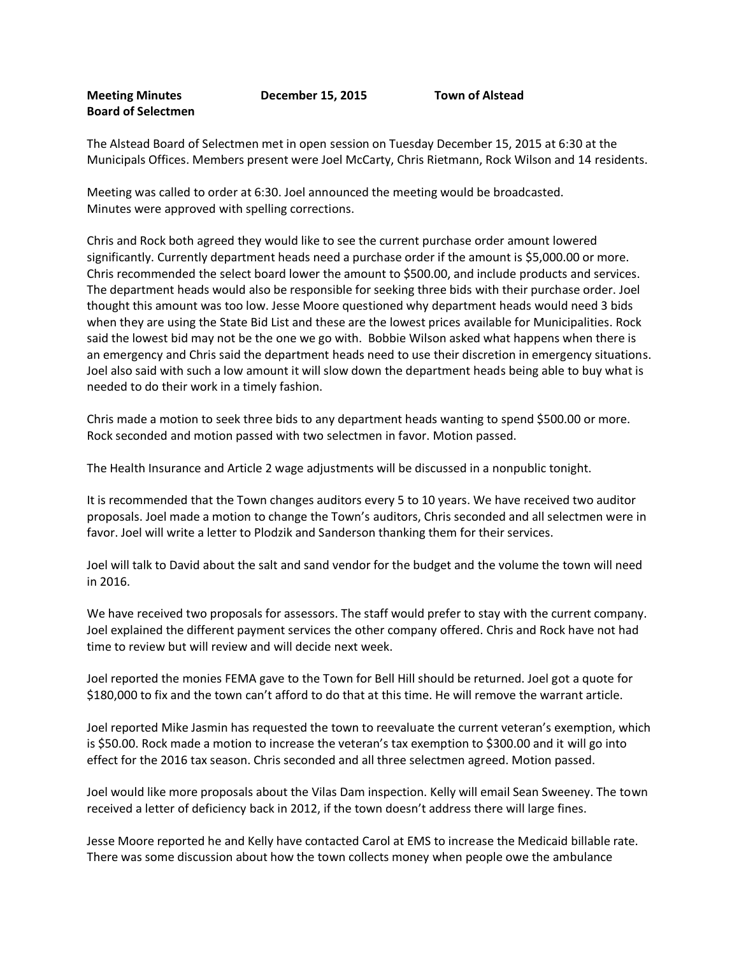## **Meeting Minutes December 15, 2015 Town of Alstead Board of Selectmen**

The Alstead Board of Selectmen met in open session on Tuesday December 15, 2015 at 6:30 at the Municipals Offices. Members present were Joel McCarty, Chris Rietmann, Rock Wilson and 14 residents.

Meeting was called to order at 6:30. Joel announced the meeting would be broadcasted. Minutes were approved with spelling corrections.

Chris and Rock both agreed they would like to see the current purchase order amount lowered significantly. Currently department heads need a purchase order if the amount is \$5,000.00 or more. Chris recommended the select board lower the amount to \$500.00, and include products and services. The department heads would also be responsible for seeking three bids with their purchase order. Joel thought this amount was too low. Jesse Moore questioned why department heads would need 3 bids when they are using the State Bid List and these are the lowest prices available for Municipalities. Rock said the lowest bid may not be the one we go with. Bobbie Wilson asked what happens when there is an emergency and Chris said the department heads need to use their discretion in emergency situations. Joel also said with such a low amount it will slow down the department heads being able to buy what is needed to do their work in a timely fashion.

Chris made a motion to seek three bids to any department heads wanting to spend \$500.00 or more. Rock seconded and motion passed with two selectmen in favor. Motion passed.

The Health Insurance and Article 2 wage adjustments will be discussed in a nonpublic tonight.

It is recommended that the Town changes auditors every 5 to 10 years. We have received two auditor proposals. Joel made a motion to change the Town's auditors, Chris seconded and all selectmen were in favor. Joel will write a letter to Plodzik and Sanderson thanking them for their services.

Joel will talk to David about the salt and sand vendor for the budget and the volume the town will need in 2016.

We have received two proposals for assessors. The staff would prefer to stay with the current company. Joel explained the different payment services the other company offered. Chris and Rock have not had time to review but will review and will decide next week.

Joel reported the monies FEMA gave to the Town for Bell Hill should be returned. Joel got a quote for \$180,000 to fix and the town can't afford to do that at this time. He will remove the warrant article.

Joel reported Mike Jasmin has requested the town to reevaluate the current veteran's exemption, which is \$50.00. Rock made a motion to increase the veteran's tax exemption to \$300.00 and it will go into effect for the 2016 tax season. Chris seconded and all three selectmen agreed. Motion passed.

Joel would like more proposals about the Vilas Dam inspection. Kelly will email Sean Sweeney. The town received a letter of deficiency back in 2012, if the town doesn't address there will large fines.

Jesse Moore reported he and Kelly have contacted Carol at EMS to increase the Medicaid billable rate. There was some discussion about how the town collects money when people owe the ambulance